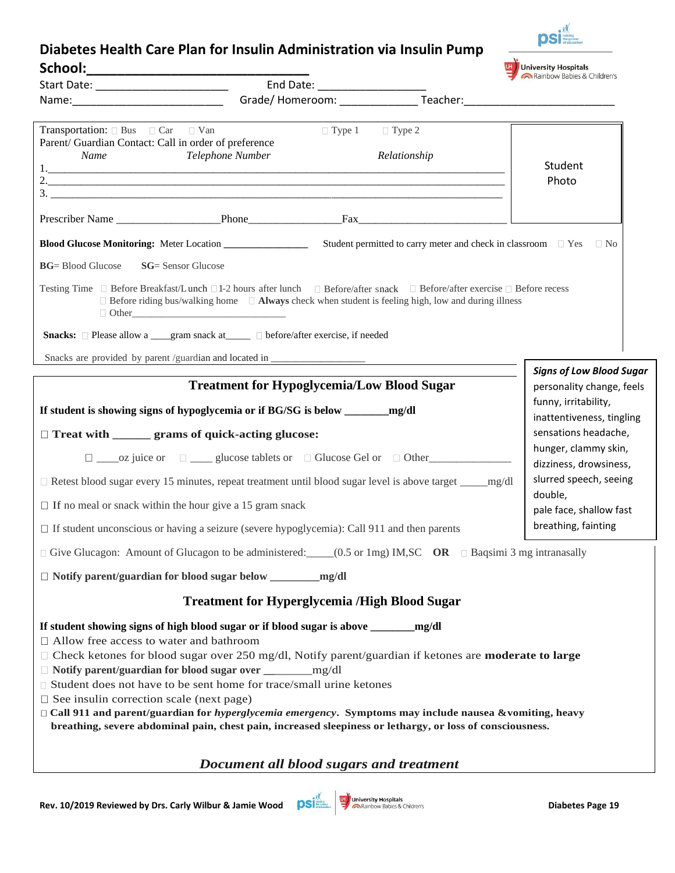## **Diabetes Health Care Plan for Insulin Administration via Insulin Pump**  School: **U. J.** University Hospitals

| Start Date: ___________________________                                                                    |                                                                                                                                                                                                                                                                |                                                                                                                      |                                             | Rainbow Babies & Children's                                  |  |  |
|------------------------------------------------------------------------------------------------------------|----------------------------------------------------------------------------------------------------------------------------------------------------------------------------------------------------------------------------------------------------------------|----------------------------------------------------------------------------------------------------------------------|---------------------------------------------|--------------------------------------------------------------|--|--|
|                                                                                                            |                                                                                                                                                                                                                                                                | End Date: ______________________<br>Grade/ Homeroom: ____________________Teacher:___________________________________ |                                             |                                                              |  |  |
| <b>Transportation:</b> $\Box$ Bus $\Box$ Car $\Box$ Van<br>Name                                            | Parent/ Guardian Contact: Call in order of preference<br>Telephone Number                                                                                                                                                                                      |                                                                                                                      | $\Box$ Type 1 $\Box$ Type 2<br>Relationship | Student<br>Photo                                             |  |  |
|                                                                                                            | Prescriber Name Phone Fax                                                                                                                                                                                                                                      |                                                                                                                      |                                             |                                                              |  |  |
|                                                                                                            |                                                                                                                                                                                                                                                                |                                                                                                                      |                                             |                                                              |  |  |
| <b>BG</b> = Blood Glucose                                                                                  | <b>SG</b> = Sensor Glucose                                                                                                                                                                                                                                     |                                                                                                                      |                                             |                                                              |  |  |
|                                                                                                            | Testing Time □ Before Breakfast/Lunch □1-2 hours after lunch □ Before/after snack □ Before/after exercise □ Before recess<br>$\Box$ Before riding bus/walking home $\Box$ Always check when student is feeling high, low and during illness                    |                                                                                                                      |                                             |                                                              |  |  |
|                                                                                                            | Snacks: □ Please allow a ___gram snack at _____ □ before/after exercise, if needed                                                                                                                                                                             |                                                                                                                      |                                             |                                                              |  |  |
|                                                                                                            | Snacks are provided by parent /guardian and located in _________________________                                                                                                                                                                               |                                                                                                                      |                                             |                                                              |  |  |
|                                                                                                            | <b>Treatment for Hypoglycemia/Low Blood Sugar</b>                                                                                                                                                                                                              |                                                                                                                      |                                             | <b>Signs of Low Blood Sugar</b><br>personality change, feels |  |  |
|                                                                                                            |                                                                                                                                                                                                                                                                |                                                                                                                      |                                             | funny, irritability,<br>inattentiveness, tingling            |  |  |
|                                                                                                            | □ Treat with ______ grams of quick-acting glucose:                                                                                                                                                                                                             |                                                                                                                      |                                             | sensations headache,                                         |  |  |
|                                                                                                            | hunger, clammy skin,<br>dizziness, drowsiness,                                                                                                                                                                                                                 |                                                                                                                      |                                             |                                                              |  |  |
| □ Retest blood sugar every 15 minutes, repeat treatment until blood sugar level is above target _____mg/dl | slurred speech, seeing                                                                                                                                                                                                                                         |                                                                                                                      |                                             |                                                              |  |  |
| $\Box$ If no meal or snack within the hour give a 15 gram snack                                            |                                                                                                                                                                                                                                                                |                                                                                                                      |                                             | double,<br>pale face, shallow fast                           |  |  |
|                                                                                                            | $\Box$ If student unconscious or having a seizure (severe hypoglycemia): Call 911 and then parents                                                                                                                                                             |                                                                                                                      |                                             | breathing, fainting                                          |  |  |
|                                                                                                            | $\Box$ Give Glucagon: Amount of Glucagon to be administered: _____(0.5 or 1mg) IM, SC OR $\Box$ Baqsimi 3 mg intranasally                                                                                                                                      |                                                                                                                      |                                             |                                                              |  |  |
|                                                                                                            |                                                                                                                                                                                                                                                                | mg/dl                                                                                                                |                                             |                                                              |  |  |
|                                                                                                            | <b>Treatment for Hyperglycemia /High Blood Sugar</b>                                                                                                                                                                                                           |                                                                                                                      |                                             |                                                              |  |  |
| □ Allow free access to water and bathroom                                                                  | If student showing signs of high blood sugar or if blood sugar is above ______<br>$\Box$ Check ketones for blood sugar over 250 mg/dl, Notify parent/guardian if ketones are <b>moderate to large</b><br>□ Notify parent/guardian for blood sugar over _______ | mg/dl                                                                                                                | mg/dl                                       |                                                              |  |  |

- □ Student does not have to be sent home for trace/small urine ketones
- $\square$  See insulin correction scale (next page)
- **Call 911 and parent/guardian for** *hyperglycemia emergency***. Symptoms may include nausea &vomiting, heavy breathing, severe abdominal pain, chest pain, increased sleepiness or lethargy, or loss of consciousness.**

## *Document all blood sugars and treatment*